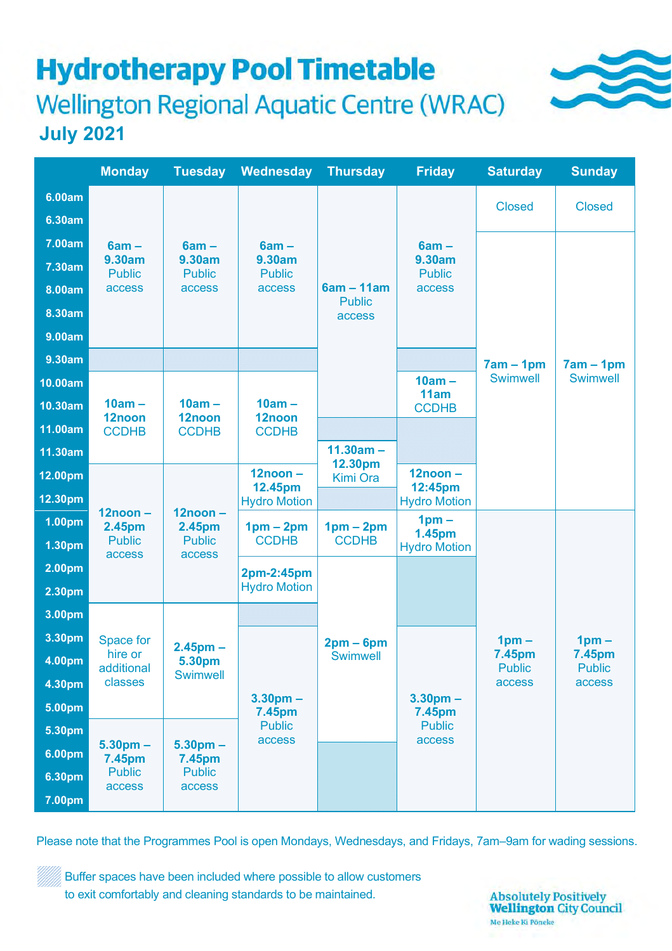# **Hydrotherapy Pool Timetable Wellington Regional Aquatic Centre (WRAC) July 2021**

|                                                          | <b>Monday</b>                                          | Tuesday                                         | Wednesday                                       | Thursd <u>ay</u>                        | <b>Friday</b>                                | <b>Saturday</b>                              | <b>Sunday</b>                                |
|----------------------------------------------------------|--------------------------------------------------------|-------------------------------------------------|-------------------------------------------------|-----------------------------------------|----------------------------------------------|----------------------------------------------|----------------------------------------------|
| 6.00am<br>6.30am                                         |                                                        |                                                 |                                                 |                                         |                                              | <b>Closed</b>                                | <b>Closed</b>                                |
| 7.00am<br>7.30am<br>8.00am<br>8.30am<br>9.00am<br>9.30am | $6am -$<br>9.30am<br><b>Public</b><br><b>access</b>    | $6am -$<br>9.30am<br><b>Public</b><br>access    | $6am -$<br>9.30am<br><b>Public</b><br>access    | $6am - 11am$<br><b>Public</b><br>access | $6am -$<br>9.30am<br><b>Public</b><br>access |                                              |                                              |
|                                                          |                                                        |                                                 |                                                 |                                         | $10am -$                                     | $7am - 1pm$<br><b>Swimwell</b>               | $7am - 1pm$<br><b>Swimwell</b>               |
| 10.00am<br>10.30am                                       | $10am -$<br>12noon<br><b>CCDHB</b>                     | $10am -$<br>12noon<br><b>CCDHB</b>              | $10am -$<br>12noon<br><b>CCDHB</b>              |                                         | 11am<br><b>CCDHB</b>                         |                                              |                                              |
| 11.00am                                                  |                                                        |                                                 |                                                 |                                         |                                              |                                              |                                              |
| 11.30am                                                  |                                                        |                                                 |                                                 | $11.30am -$                             |                                              |                                              |                                              |
| 12.00pm                                                  | $12noon -$<br>2.45pm<br><b>Public</b><br><b>access</b> | $12noon -$<br>2.45pm<br><b>Public</b><br>access | $12noon -$<br>12.45pm<br><b>Hydro Motion</b>    | 12.30pm<br>Kimi Ora                     | $12noon -$<br>12:45pm                        |                                              |                                              |
| 12.30pm                                                  |                                                        |                                                 |                                                 |                                         | <b>Hydro Motion</b>                          |                                              |                                              |
| 1.00pm                                                   |                                                        |                                                 | $1pm - 2pm$<br><b>CCDHB</b>                     | $1pm - 2pm$<br><b>CCDHB</b>             | 1 <sub>pm</sub><br>1.45pm                    |                                              | $1pm -$<br>7.45pm<br><b>Public</b><br>access |
| 1.30pm                                                   |                                                        |                                                 |                                                 | $2pm-6pm$<br><b>Swimwell</b>            | <b>Hydro Motion</b>                          |                                              |                                              |
| 2.00pm                                                   |                                                        |                                                 | 2pm-2:45pm<br><b>Hydro Motion</b>               |                                         |                                              |                                              |                                              |
| 2.30pm                                                   |                                                        |                                                 |                                                 |                                         |                                              | $1pm -$<br>7.45pm<br><b>Public</b><br>access |                                              |
| 3.00 <sub>pm</sub>                                       | Space for<br>hire or<br>additional<br>classes          | $2.45pm$ -<br>5.30pm<br><b>Swimwell</b>         |                                                 |                                         |                                              |                                              |                                              |
| 3.30pm                                                   |                                                        |                                                 | $3.30pm$ -<br>7.45pm<br><b>Public</b><br>access |                                         | $3.30pm$ -<br>7.45pm                         |                                              |                                              |
| 4.00pm                                                   |                                                        |                                                 |                                                 |                                         |                                              |                                              |                                              |
| 4.30pm                                                   |                                                        |                                                 |                                                 |                                         |                                              |                                              |                                              |
| 5.00pm                                                   |                                                        |                                                 |                                                 |                                         |                                              |                                              |                                              |
| 5.30pm                                                   | $5.30pm$ -<br>7.45pm<br><b>Public</b><br><b>access</b> | $5.30pm$ -<br>7.45pm<br><b>Public</b><br>access |                                                 |                                         | <b>Public</b><br>access                      |                                              |                                              |
| 6.00pm                                                   |                                                        |                                                 |                                                 |                                         |                                              |                                              |                                              |
| 6.30pm                                                   |                                                        |                                                 |                                                 |                                         |                                              |                                              |                                              |
| 7.00pm                                                   |                                                        |                                                 |                                                 |                                         |                                              |                                              |                                              |

Please note that the Programmes Pool is open Mondays, Wednesdays, and Fridays, 7am–9am for wading sessions.

Buffer spaces have been included where possible to allow customers to exit comfortably and cleaning standards to be maintained.

**Absolutely Positively Wellington City Council** Me Heke Ki Pôneke